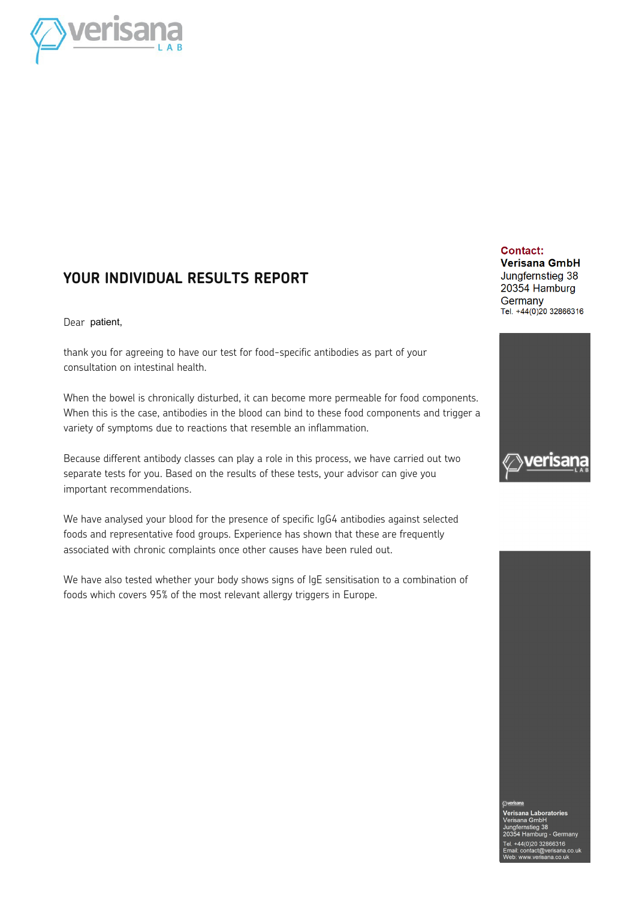

#### **YOUR INDIVIDUAL RESULTS REPORT**

Dear patient,

thank you for agreeing to have our test for food-specific antibodies as part of your consultation on intestinal health.

When the bowel is chronically disturbed, it can become more permeable for food components. When this is the case, antibodies in the blood can bind to these food components and trigger a variety of symptoms due to reactions that resemble an inflammation.

Because different antibody classes can play a role in this process, we have carried out two separate tests for you. Based on the results of these tests, your advisor can give you important recommendations.

We have analysed your blood for the presence of specific IgG4 antibodies against selected foods and representative food groups. Experience has shown that these are frequently associated with chronic complaints once other causes have been ruled out.

We have also tested whether your body shows signs of IgE sensitisation to a combination of foods which covers 95% of the most relevant allergy triggers in Europe.

#### Contact:

**Verisana GmbH** Jungfernstieg 38 20354 Hamburg Germany Tel. +44(0)20 32866316



Verisana Laboratories ana GmbH nipri<br>eg 38 ینې ت<br>amburg - Germany 44(0)20 32866316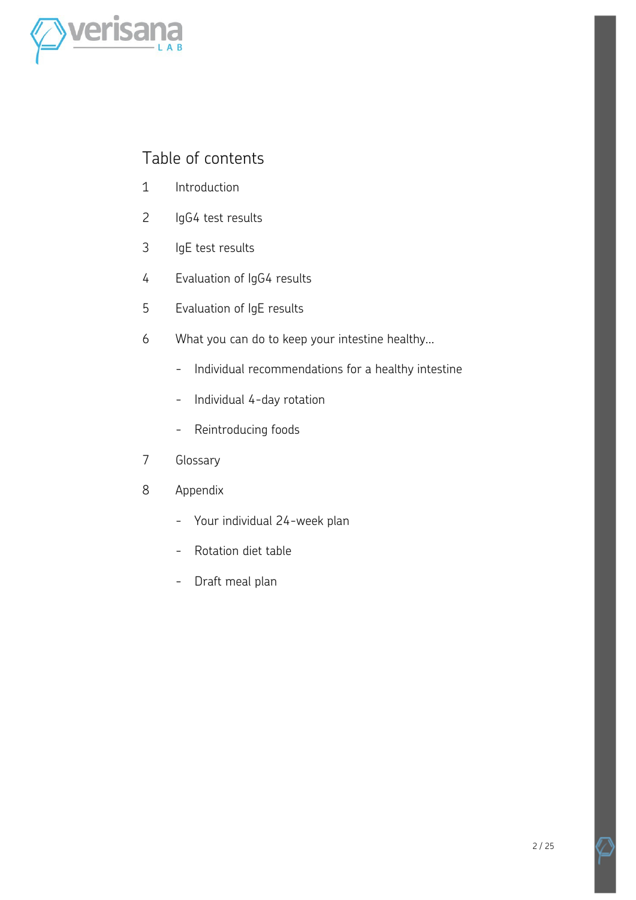

#### Table of contents

- 1 Introduction
- 2 IgG4 test results
- 3 IgE test results
- 4 Evaluation of IgG4 results
- 5 Evaluation of IgE results
- 6 What you can do to keep your intestine healthy...
	- Individual recommendations for a healthy intestine
	- Individual 4-day rotation
	- Reintroducing foods
- 7 Glossary
- 8 Appendix
	- - Your individual 24-week plan
	- Rotation diet table
	- Draft meal plan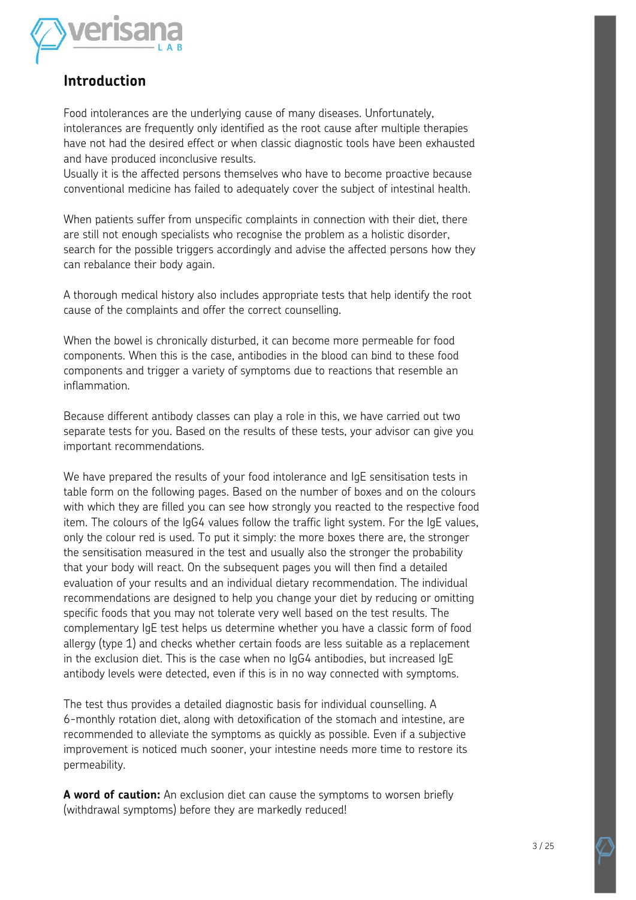

#### **Introduction**

Food intolerances are the underlying cause of many diseases. Unfortunately, intolerances are frequently only identified as the root cause after multiple therapies have not had the desired effect or when classic diagnostic tools have been exhausted and have produced inconclusive results.

Usually it is the affected persons themselves who have to become proactive because conventional medicine has failed to adequately cover the subject of intestinal health.

When patients suffer from unspecific complaints in connection with their diet, there are still not enough specialists who recognise the problem as a holistic disorder, search for the possible triggers accordingly and advise the affected persons how they can rebalance their body again.

A thorough medical history also includes appropriate tests that help identify the root cause of the complaints and offer the correct counselling.

When the bowel is chronically disturbed, it can become more permeable for food components. When this is the case, antibodies in the blood can bind to these food components and trigger a variety of symptoms due to reactions that resemble an inflammation.

Because different antibody classes can play a role in this, we have carried out two separate tests for you. Based on the results of these tests, your advisor can give you important recommendations.

We have prepared the results of your food intolerance and IgE sensitisation tests in table form on the following pages. Based on the number of boxes and on the colours with which they are filled you can see how strongly you reacted to the respective food item. The colours of the IgG4 values follow the traffic light system. For the IgE values, only the colour red is used. To put it simply: the more boxes there are, the stronger the sensitisation measured in the test and usually also the stronger the probability that your body will react. On the subsequent pages you will then find a detailed evaluation of your results and an individual dietary recommendation. The individual recommendations are designed to help you change your diet by reducing or omitting specific foods that you may not tolerate very well based on the test results. The complementary IgE test helps us determine whether you have a classic form of food allergy (type 1) and checks whether certain foods are less suitable as a replacement in the exclusion diet. This is the case when no IgG4 antibodies, but increased IgE antibody levels were detected, even if this is in no way connected with symptoms.

The test thus provides a detailed diagnostic basis for individual counselling. A 6-monthly rotation diet, along with detoxification of the stomach and intestine, are recommended to alleviate the symptoms as quickly as possible. Even if a subjective improvement is noticed much sooner, your intestine needs more time to restore its permeability.

**A word of caution:** An exclusion diet can cause the symptoms to worsen briefly (withdrawal symptoms) before they are markedly reduced!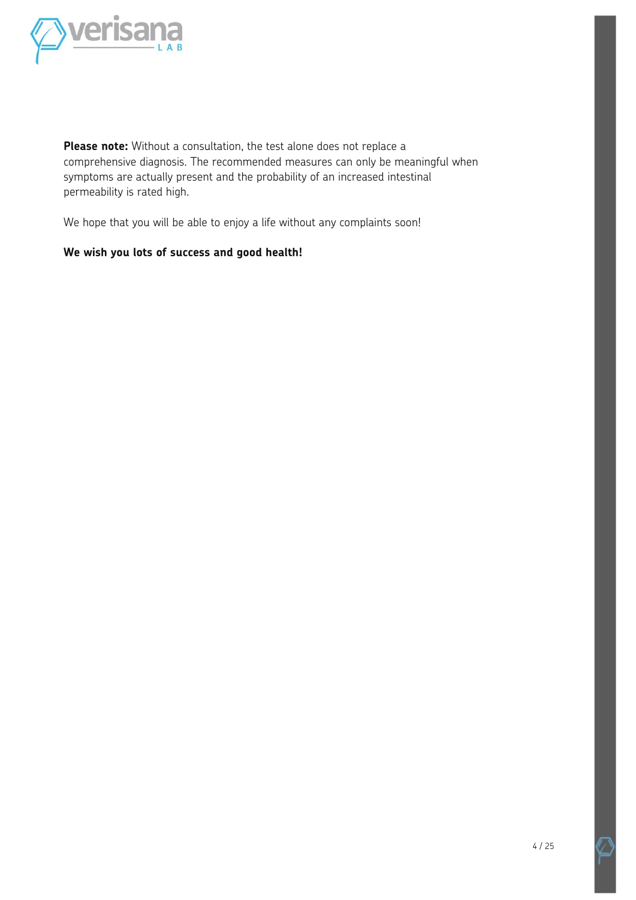

**Please note:** Without a consultation, the test alone does not replace a comprehensive diagnosis. The recommended measures can only be meaningful when symptoms are actually present and the probability of an increased intestinal permeability is rated high.

We hope that you will be able to enjoy a life without any complaints soon!

#### **We wish you lots of success and good health!**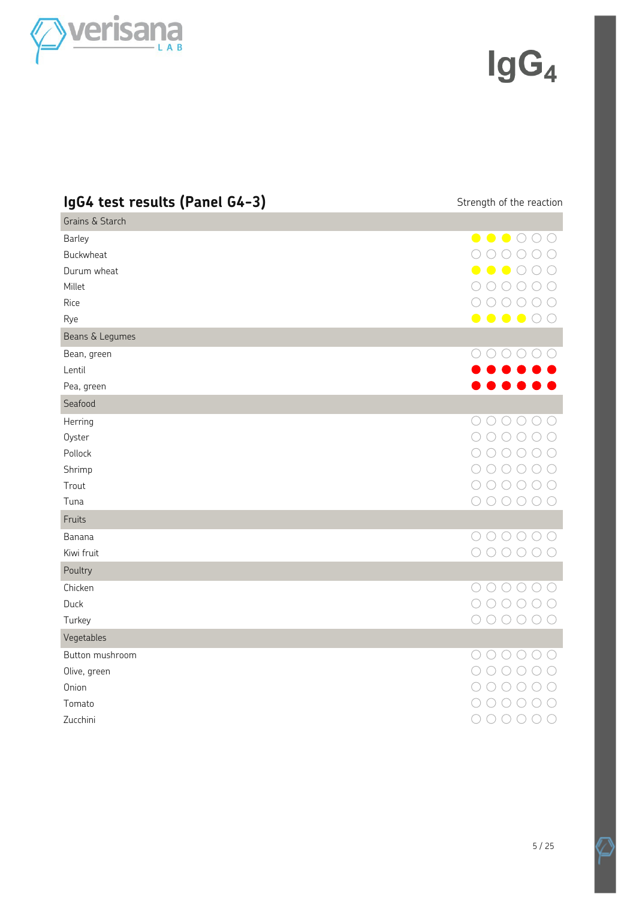

 $\lg G_4$ 

| IgG4 test results (Panel G4-3)                              | Strength of the reaction                                                                                                                                                                                                                                                                                                                          |
|-------------------------------------------------------------|---------------------------------------------------------------------------------------------------------------------------------------------------------------------------------------------------------------------------------------------------------------------------------------------------------------------------------------------------|
| Grains & Starch                                             |                                                                                                                                                                                                                                                                                                                                                   |
| Barley<br>Buckwheat<br>Durum wheat<br>Millet<br>Rice<br>Rye | $\bullet\bullet\bullet\circ\circ\circ$<br>$\bigcap$<br>$\bigcap$ $\bigcap$<br>$\left(\begin{array}{c} \end{array}\right)$<br>$\bullet\bullet\bullet\circ$<br>$\bigcap$<br>$\bigcirc$<br>$\bigcirc$ $\bigcirc$<br>( )<br>( )<br>( )<br>$\begin{array}{ccc} \circ & \circ & \circ & \circ & \circ \end{array}$<br>$\bullet\bullet\bullet\circ\circ$ |
| Beans & Legumes<br>Bean, green                              | $\circ\circ\circ\circ\circ$                                                                                                                                                                                                                                                                                                                       |
| Lentil                                                      |                                                                                                                                                                                                                                                                                                                                                   |
| Pea, green                                                  |                                                                                                                                                                                                                                                                                                                                                   |
| Seafood                                                     |                                                                                                                                                                                                                                                                                                                                                   |
| Herring<br>Oyster<br>Pollock                                | $\bigcirc$<br>$O$ $O$ $O$<br>( )<br>$\bigcirc$<br>$\bigcirc$<br>( )<br>$\bigcirc$<br>$\bigcirc$<br>$( \ )$<br>( )                                                                                                                                                                                                                                 |
| Shrimp                                                      | $\bigcirc$<br>( )<br>(                                                                                                                                                                                                                                                                                                                            |
| Trout<br>Tuna                                               | $\begin{array}{ccc} \circ & \circ & \circ & \circ & \circ \end{array}$<br>$\bigcirc$<br>$\begin{array}{ccc} \circ & \circ & \circ & \circ & \circ \end{array}$<br>$\bigcirc$                                                                                                                                                                      |
| Fruits                                                      |                                                                                                                                                                                                                                                                                                                                                   |
| Banana<br>Kiwi fruit                                        | $\bigcirc \bigcirc \bigcirc \bigcirc$<br>$\left(\begin{array}{c} \end{array}\right)$<br>$000000$                                                                                                                                                                                                                                                  |
| Poultry                                                     |                                                                                                                                                                                                                                                                                                                                                   |
| Chicken<br>Duck<br>Turkey                                   | $\begin{array}{ccc} \circ & \circ & \circ & \circ & \circ \end{array}$<br>$\bigcirc$<br>( )<br>000000                                                                                                                                                                                                                                             |
| Vegetables                                                  |                                                                                                                                                                                                                                                                                                                                                   |
| Button mushroom<br>Olive, green<br>Onion<br>Tomato          | $\begin{array}{ccc} \circ & \circ & \circ & \circ & \circ \end{array}$<br>◯<br>$\left(\begin{array}{c} \end{array}\right)$<br>$($ )<br>$\left(\begin{array}{c} \end{array}\right)$<br>$\left(\begin{array}{c} \end{array}\right)$<br>$O$ $O$ $O$<br>$\bigcirc$<br>$\bigcirc$                                                                      |
| Zucchini                                                    |                                                                                                                                                                                                                                                                                                                                                   |

Z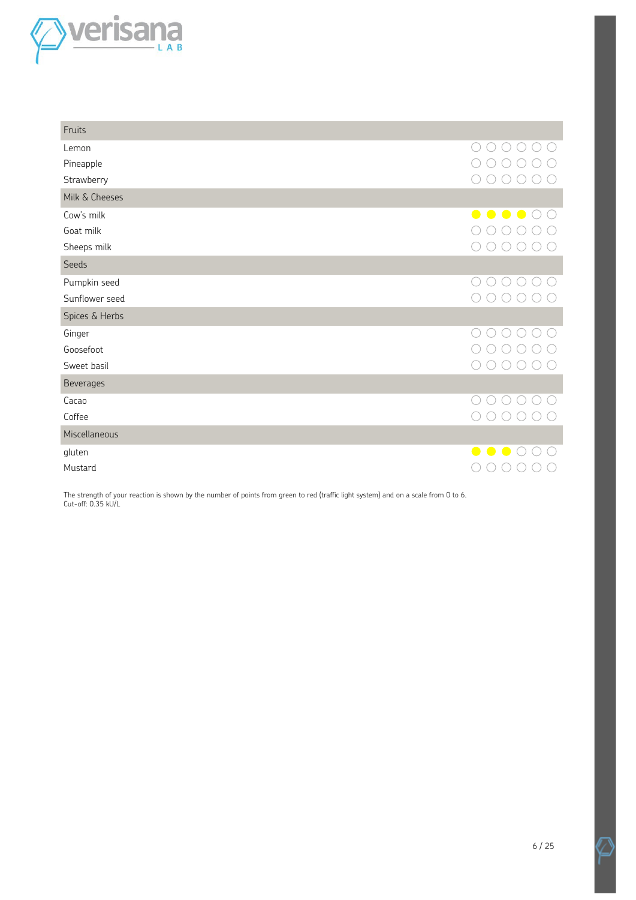

| Fruits         |                                  |
|----------------|----------------------------------|
| Lemon          |                                  |
| Pineapple      |                                  |
| Strawberry     |                                  |
| Milk & Cheeses |                                  |
| Cow's milk     | $\bullet$<br>$\bullet$ $\bullet$ |
| Goat milk      |                                  |
| Sheeps milk    |                                  |
| Seeds          |                                  |
| Pumpkin seed   |                                  |
| Sunflower seed |                                  |
| Spices & Herbs |                                  |
| Ginger         |                                  |
| Goosefoot      |                                  |
| Sweet basil    |                                  |
| Beverages      |                                  |
| Cacao          |                                  |
| Coffee         |                                  |
| Miscellaneous  |                                  |
| gluten         |                                  |
| Mustard        |                                  |

The strength of your reaction is shown by the number of points from green to red (traffic light system) and on a scale from 0 to 6. Cut-off: 0.35 kU/L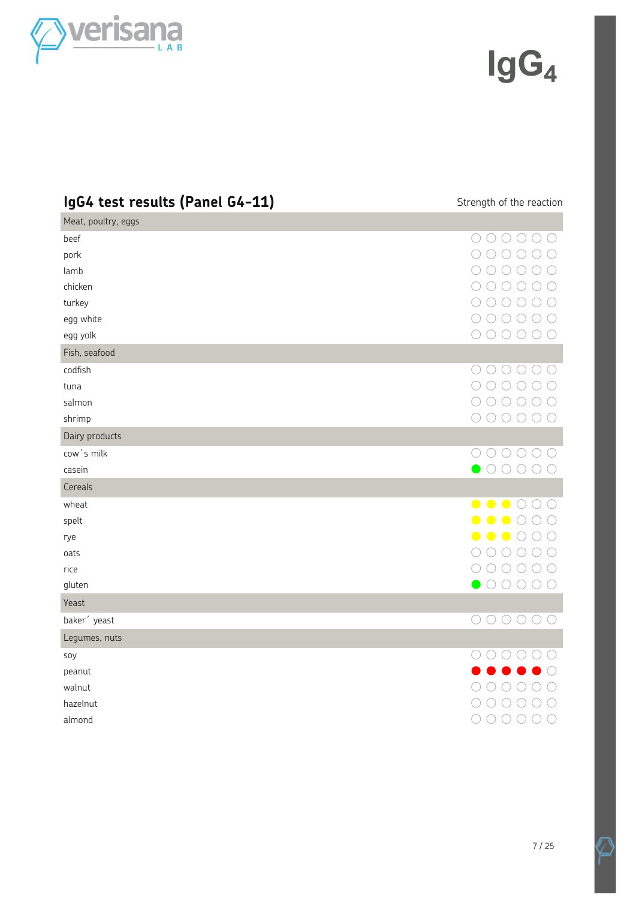

### $\lg G_4$

| IgG4 test results (Panel G4-11) | Strength of the reaction                                                                                                                                                                                                                                                                                                      |
|---------------------------------|-------------------------------------------------------------------------------------------------------------------------------------------------------------------------------------------------------------------------------------------------------------------------------------------------------------------------------|
| Meat, poultry, eggs             |                                                                                                                                                                                                                                                                                                                               |
| beef                            |                                                                                                                                                                                                                                                                                                                               |
| pork                            | $\bigcirc$<br>$\bigcirc$                                                                                                                                                                                                                                                                                                      |
| lamb                            | $\bigcirc$<br>∩<br>$\bigcirc$<br>$\left(\begin{array}{c} \end{array}\right)$<br>$\left(\begin{array}{c} \end{array}\right)$                                                                                                                                                                                                   |
| chicken                         | $\begin{array}{ccc} 0 & 0 & 0 & 0 & 0 \\ 0 & 0 & 0 & 0 & 0 \\ 0 & 0 & 0 & 0 & 0 \\ 0 & 0 & 0 & 0 & 0 \\ 0 & 0 & 0 & 0 & 0 \\ 0 & 0 & 0 & 0 & 0 \\ 0 & 0 & 0 & 0 & 0 \\ 0 & 0 & 0 & 0 & 0 \\ 0 & 0 & 0 & 0 & 0 \\ 0 & 0 & 0 & 0 & 0 \\ 0 & 0 & 0 & 0 & 0 \\ 0 & 0 & 0 & 0 & 0 & 0 \\ 0 & 0 & 0 & 0 & 0 & 0 \\ 0 & 0 & 0 & 0 &$ |
| turkey                          | $\begin{array}{ccc} 0 & 0 & 0 & 0 & 0 \\ 0 & 0 & 0 & 0 & 0 \\ 0 & 0 & 0 & 0 & 0 \\ 0 & 0 & 0 & 0 & 0 \\ 0 & 0 & 0 & 0 & 0 \\ 0 & 0 & 0 & 0 & 0 \\ 0 & 0 & 0 & 0 & 0 \\ 0 & 0 & 0 & 0 & 0 \\ 0 & 0 & 0 & 0 & 0 \\ 0 & 0 & 0 & 0 & 0 & 0 \\ 0 & 0 & 0 & 0 & 0 & 0 \\ 0 & 0 & 0 & 0 & 0 & 0 \\ 0 & 0 & 0 & 0 & 0 & 0 & 0 \\ 0 &$ |
| egg white                       | $O$ $O$<br>$\bigcirc$<br>$\bigcirc$<br>( )                                                                                                                                                                                                                                                                                    |
| egg yolk                        | $O$ $O$ $O$<br>$\bigcirc$<br>◯<br>( )                                                                                                                                                                                                                                                                                         |
| Fish, seafood                   |                                                                                                                                                                                                                                                                                                                               |
| codfish                         | $000000$                                                                                                                                                                                                                                                                                                                      |
| tuna                            |                                                                                                                                                                                                                                                                                                                               |
| salmon                          | $\begin{array}{ccc} \circ & \circ & \circ & \circ & \circ \end{array}$                                                                                                                                                                                                                                                        |
| shrimp                          | 000000                                                                                                                                                                                                                                                                                                                        |
| Dairy products                  |                                                                                                                                                                                                                                                                                                                               |
| cow's milk                      |                                                                                                                                                                                                                                                                                                                               |
| casein                          |                                                                                                                                                                                                                                                                                                                               |
| Cereals                         |                                                                                                                                                                                                                                                                                                                               |
| wheat                           | $\bullet \bullet \bullet \circ \circ$                                                                                                                                                                                                                                                                                         |
| spelt                           | $\bullet\bullet\circ\circ\circ$                                                                                                                                                                                                                                                                                               |
| rye                             | $\bullet\bullet\bullet\circ\circ$                                                                                                                                                                                                                                                                                             |
| oats                            | ⌒<br>$\bigcap$<br>$\bigcirc$<br>$\bigcirc$<br>$\bigcirc$<br>$\left(\begin{array}{c} \end{array}\right)$                                                                                                                                                                                                                       |
| rice                            | $\bigcirc \bigcirc \bigcirc \bigcirc \bigcirc \bigcirc$<br>( )                                                                                                                                                                                                                                                                |
| gluten                          |                                                                                                                                                                                                                                                                                                                               |
| Yeast                           |                                                                                                                                                                                                                                                                                                                               |
| baker' yeast                    | 000000                                                                                                                                                                                                                                                                                                                        |
| Legumes, nuts                   |                                                                                                                                                                                                                                                                                                                               |
| soy                             | $\begin{array}{ccc} & \circ & \circ & \circ & \circ & \circ \end{array}$                                                                                                                                                                                                                                                      |
| peanut                          |                                                                                                                                                                                                                                                                                                                               |
| walnut                          | $\bigcap$<br>◯                                                                                                                                                                                                                                                                                                                |
| hazelnut                        | $\circ$<br>( )<br>( )                                                                                                                                                                                                                                                                                                         |
| almond                          | $\bigcirc$<br>$\bigcirc$                                                                                                                                                                                                                                                                                                      |

Z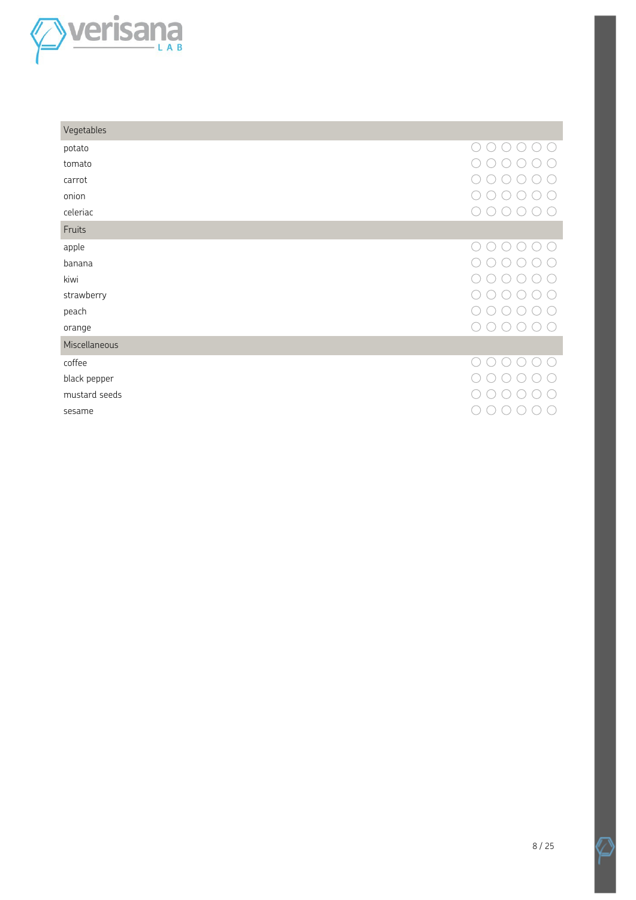

| Vegetables    |    |
|---------------|----|
| potato        | 11 |
| tomato        |    |
| carrot        |    |
| onion         |    |
| celeriac      |    |
| Fruits        |    |
| apple         |    |
| banana        |    |
| kiwi          |    |
| strawberry    |    |
| peach         |    |
| orange        |    |
| Miscellaneous |    |
| coffee        |    |
| black pepper  |    |
| mustard seeds |    |
| sesame        |    |
|               |    |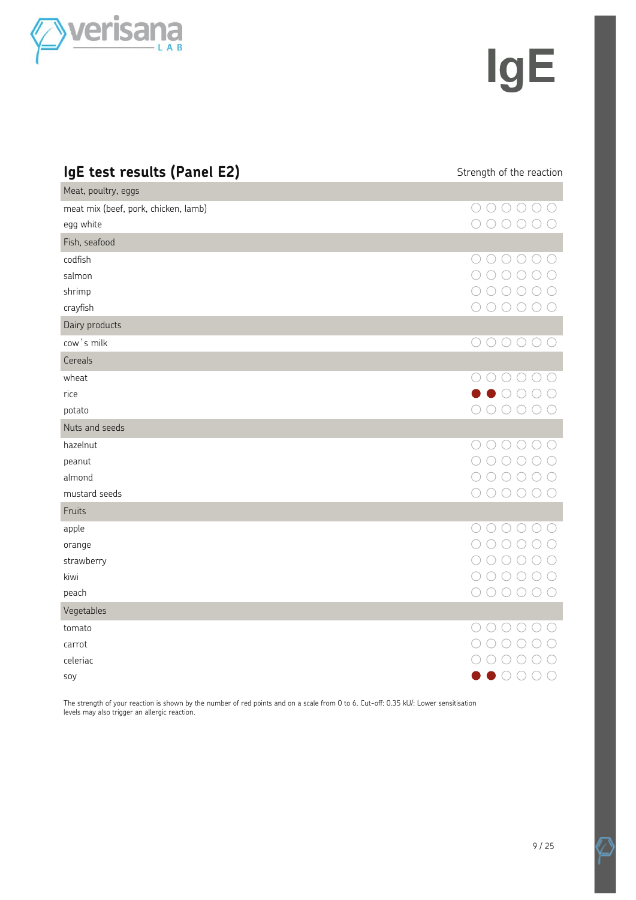

## **IgE**

| IgE test results (Panel E2)          | Strength of the reaction                                               |
|--------------------------------------|------------------------------------------------------------------------|
| Meat, poultry, eggs                  |                                                                        |
| meat mix (beef, pork, chicken, lamb) | $\bigcirc \bigcirc \bigcirc \bigcirc \bigcirc$<br>( )                  |
| egg white                            | $\begin{array}{ccc} & \circ & \circ & \circ & \circ \end{array}$       |
| Fish, seafood                        |                                                                        |
| codfish                              | ( )                                                                    |
| salmon                               | $\bigcirc$                                                             |
| shrimp                               | ( )                                                                    |
| crayfish                             | $\bigcirc$<br>$\bigcirc$<br>( )<br>( )                                 |
| Dairy products                       |                                                                        |
| cow's milk                           | $\begin{array}{ccc} \circ & \circ & \circ & \circ & \circ \end{array}$ |
| Cereals                              |                                                                        |
| wheat                                | $\begin{array}{ccc} \circ & \circ & \circ & \circ & \circ \end{array}$ |
| rice                                 |                                                                        |
| potato                               | $\left(\begin{array}{c} \end{array}\right)$                            |
| Nuts and seeds                       |                                                                        |
| hazelnut                             | $\bigcirc$<br>( )<br>( )<br>( )                                        |
| peanut                               | ○<br>$\bigcirc$<br>( )                                                 |
| almond                               | $\left(\begin{array}{c} \end{array}\right)$<br>( )<br>( )              |
| mustard seeds                        | 000<br>( )<br>( )                                                      |
| Fruits                               |                                                                        |
| apple                                | 00000                                                                  |
| orange                               | $\bigcirc$<br>$\bigcirc$<br>(                                          |
| strawberry                           |                                                                        |
| kiwi                                 | ◯                                                                      |
| peach                                | $\left(\begin{array}{c} \end{array}\right)$<br>$($ )<br>(              |
| Vegetables                           |                                                                        |
| tomato                               | ( )<br>( )                                                             |
| carrot                               |                                                                        |
| celeriac                             |                                                                        |
| soy                                  |                                                                        |

The strength of your reaction is shown by the number of red points and on a scale from 0 to 6. Cut-off: 0.35 kU/: Lower sensitisation levels may also trigger an allergic reaction.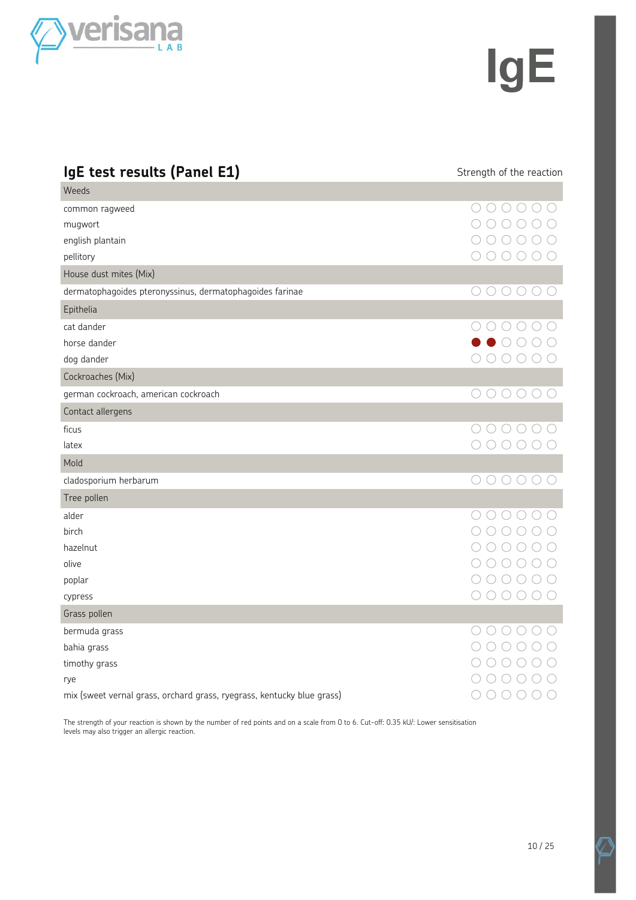

## **IgE**

| IgE test results (Panel E1)                                            | Strength of the reaction                                                                                                                                                                                                                                                                                                        |
|------------------------------------------------------------------------|---------------------------------------------------------------------------------------------------------------------------------------------------------------------------------------------------------------------------------------------------------------------------------------------------------------------------------|
| Weeds                                                                  |                                                                                                                                                                                                                                                                                                                                 |
| common ragweed                                                         | ()()()()                                                                                                                                                                                                                                                                                                                        |
| mugwort                                                                | $\bigcirc$<br>$\bigcirc$                                                                                                                                                                                                                                                                                                        |
| english plantain                                                       | 000                                                                                                                                                                                                                                                                                                                             |
| pellitory                                                              | $\bigcirc$                                                                                                                                                                                                                                                                                                                      |
| House dust mites (Mix)                                                 |                                                                                                                                                                                                                                                                                                                                 |
| dermatophagoides pteronyssinus, dermatophagoides farinae               | $0000000$                                                                                                                                                                                                                                                                                                                       |
| Epithelia                                                              |                                                                                                                                                                                                                                                                                                                                 |
| cat dander                                                             |                                                                                                                                                                                                                                                                                                                                 |
| horse dander                                                           | $\bullet$ 000                                                                                                                                                                                                                                                                                                                   |
| dog dander                                                             | 000000                                                                                                                                                                                                                                                                                                                          |
| Cockroaches (Mix)                                                      |                                                                                                                                                                                                                                                                                                                                 |
| german cockroach, american cockroach                                   | 000000                                                                                                                                                                                                                                                                                                                          |
| Contact allergens                                                      |                                                                                                                                                                                                                                                                                                                                 |
| ficus                                                                  | $\begin{array}{ccc} \circ & \circ & \circ & \circ & \circ \end{array}$                                                                                                                                                                                                                                                          |
| latex                                                                  | 000000                                                                                                                                                                                                                                                                                                                          |
| Mold                                                                   |                                                                                                                                                                                                                                                                                                                                 |
| cladosporium herbarum                                                  | $0000000$                                                                                                                                                                                                                                                                                                                       |
| Tree pollen                                                            |                                                                                                                                                                                                                                                                                                                                 |
| alder                                                                  | 00000                                                                                                                                                                                                                                                                                                                           |
| birch                                                                  | $00000$                                                                                                                                                                                                                                                                                                                         |
| hazelnut                                                               | $\bigcirc$                                                                                                                                                                                                                                                                                                                      |
| olive                                                                  | $\bigcirc$                                                                                                                                                                                                                                                                                                                      |
| poplar                                                                 | $\begin{array}{ccc} 0 & 0 & 0 & 0 \\ 0 & 0 & 0 & 0 \\ 0 & 0 & 0 & 0 \\ 0 & 0 & 0 & 0 \\ 0 & 0 & 0 & 0 \\ 0 & 0 & 0 & 0 \\ 0 & 0 & 0 & 0 \\ 0 & 0 & 0 & 0 \\ 0 & 0 & 0 & 0 \\ 0 & 0 & 0 & 0 \\ 0 & 0 & 0 & 0 & 0 \\ 0 & 0 & 0 & 0 & 0 \\ 0 & 0 & 0 & 0 & 0 \\ 0 & 0 & 0 & 0 & 0 & 0 \\ 0 & 0 & 0 & 0 & 0 & 0 \\ 0 & 0 & 0 & 0 &$ |
| cypress                                                                | $\begin{array}{ccc} \circ & \circ & \circ & \circ & \circ \end{array}$                                                                                                                                                                                                                                                          |
| Grass pollen                                                           |                                                                                                                                                                                                                                                                                                                                 |
| bermuda grass                                                          | $\bigcirc$                                                                                                                                                                                                                                                                                                                      |
| bahia grass                                                            | 00000                                                                                                                                                                                                                                                                                                                           |
| timothy grass                                                          | $\bigcirc$                                                                                                                                                                                                                                                                                                                      |
| rye                                                                    |                                                                                                                                                                                                                                                                                                                                 |
| mix (sweet vernal grass, orchard grass, ryegrass, kentucky blue grass) | $\begin{array}{ccc} & \circ & \circ & \circ & \circ \end{array}$                                                                                                                                                                                                                                                                |

The strength of your reaction is shown by the number of red points and on a scale from 0 to 6. Cut-off: 0.35 kU/: Lower sensitisation levels may also trigger an allergic reaction.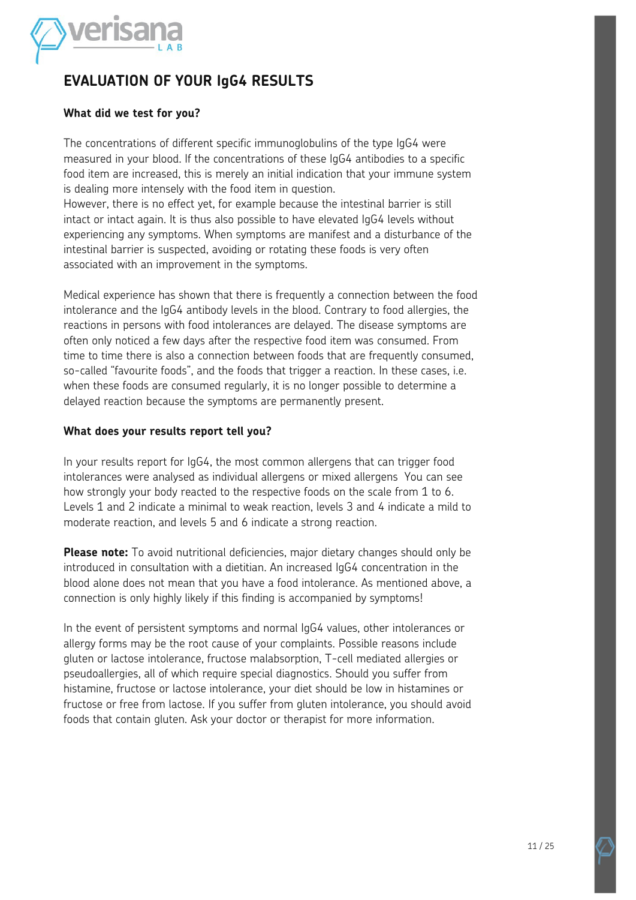

#### **EVALUATION OF YOUR IgG4 RESULTS**

#### **What did we test for you?**

The concentrations of different specific immunoglobulins of the type IgG4 were measured in your blood. If the concentrations of these IgG4 antibodies to a specific food item are increased, this is merely an initial indication that your immune system is dealing more intensely with the food item in question.

However, there is no effect yet, for example because the intestinal barrier is still intact or intact again. It is thus also possible to have elevated IgG4 levels without experiencing any symptoms. When symptoms are manifest and a disturbance of the intestinal barrier is suspected, avoiding or rotating these foods is very often associated with an improvement in the symptoms.

Medical experience has shown that there is frequently a connection between the food intolerance and the IgG4 antibody levels in the blood. Contrary to food allergies, the reactions in persons with food intolerances are delayed. The disease symptoms are often only noticed a few days after the respective food item was consumed. From time to time there is also a connection between foods that are frequently consumed, so-called "favourite foods", and the foods that trigger a reaction. In these cases, i.e. when these foods are consumed regularly, it is no longer possible to determine a delayed reaction because the symptoms are permanently present.

#### **What does your results report tell you?**

In your results report for IgG4, the most common allergens that can trigger food intolerances were analysed as individual allergens or mixed allergens You can see how strongly your body reacted to the respective foods on the scale from 1 to 6. Levels 1 and 2 indicate a minimal to weak reaction, levels 3 and 4 indicate a mild to moderate reaction, and levels 5 and 6 indicate a strong reaction.

**Please note:** To avoid nutritional deficiencies, major dietary changes should only be introduced in consultation with a dietitian. An increased IgG4 concentration in the blood alone does not mean that you have a food intolerance. As mentioned above, a connection is only highly likely if this finding is accompanied by symptoms!

In the event of persistent symptoms and normal IgG4 values, other intolerances or allergy forms may be the root cause of your complaints. Possible reasons include gluten or lactose intolerance, fructose malabsorption, T-cell mediated allergies or pseudoallergies, all of which require special diagnostics. Should you suffer from histamine, fructose or lactose intolerance, your diet should be low in histamines or fructose or free from lactose. If you suffer from gluten intolerance, you should avoid foods that contain gluten. Ask your doctor or therapist for more information.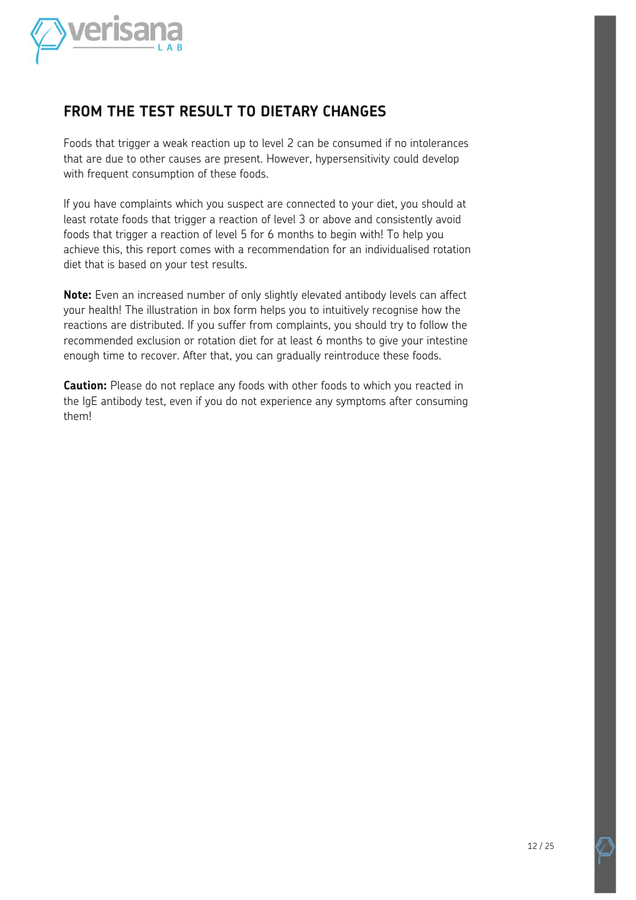

#### **FROM THE TEST RESULT TO DIETARY CHANGES**

Foods that trigger a weak reaction up to level 2 can be consumed if no intolerances that are due to other causes are present. However, hypersensitivity could develop with frequent consumption of these foods.

If you have complaints which you suspect are connected to your diet, you should at least rotate foods that trigger a reaction of level 3 or above and consistently avoid foods that trigger a reaction of level 5 for 6 months to begin with! To help you achieve this, this report comes with a recommendation for an individualised rotation diet that is based on your test results.

**Note:** Even an increased number of only slightly elevated antibody levels can affect your health! The illustration in box form helps you to intuitively recognise how the reactions are distributed. If you suffer from complaints, you should try to follow the recommended exclusion or rotation diet for at least 6 months to give your intestine enough time to recover. After that, you can gradually reintroduce these foods.

**Caution:** Please do not replace any foods with other foods to which you reacted in the IgE antibody test, even if you do not experience any symptoms after consuming them!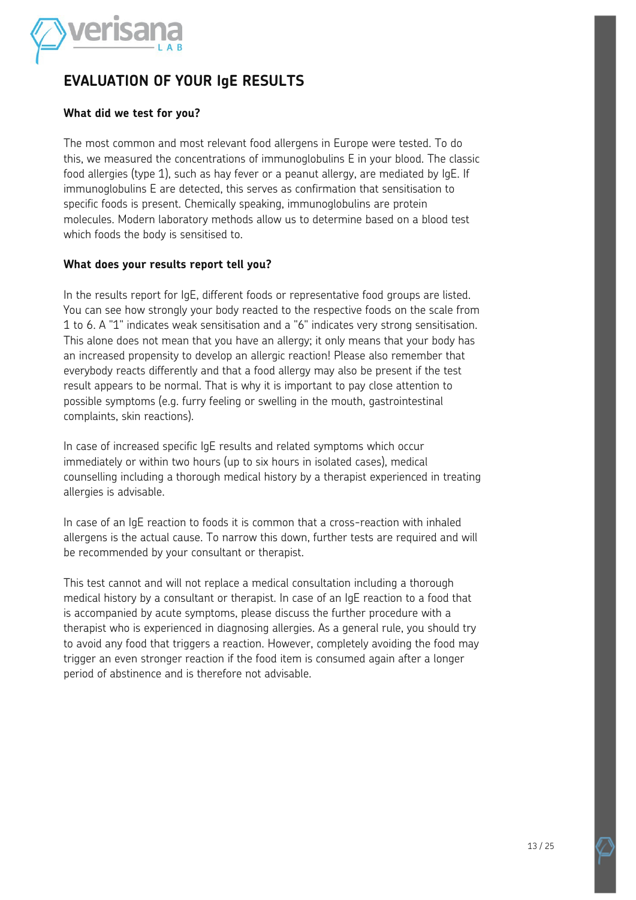

#### **EVALUATION OF YOUR IgE RESULTS**

#### **What did we test for you?**

The most common and most relevant food allergens in Europe were tested. To do this, we measured the concentrations of immunoglobulins E in your blood. The classic food allergies (type 1), such as hay fever or a peanut allergy, are mediated by IgE. If immunoglobulins E are detected, this serves as confirmation that sensitisation to specific foods is present. Chemically speaking, immunoglobulins are protein molecules. Modern laboratory methods allow us to determine based on a blood test which foods the body is sensitised to.

#### **What does your results report tell you?**

In the results report for IgE, different foods or representative food groups are listed. You can see how strongly your body reacted to the respective foods on the scale from 1 to 6. A "1" indicates weak sensitisation and a "6" indicates very strong sensitisation. This alone does not mean that you have an allergy; it only means that your body has an increased propensity to develop an allergic reaction! Please also remember that everybody reacts differently and that a food allergy may also be present if the test result appears to be normal. That is why it is important to pay close attention to possible symptoms (e.g. furry feeling or swelling in the mouth, gastrointestinal complaints, skin reactions).

In case of increased specific IgE results and related symptoms which occur immediately or within two hours (up to six hours in isolated cases), medical counselling including a thorough medical history by a therapist experienced in treating allergies is advisable.

In case of an IgE reaction to foods it is common that a cross-reaction with inhaled allergens is the actual cause. To narrow this down, further tests are required and will be recommended by your consultant or therapist.

This test cannot and will not replace a medical consultation including a thorough medical history by a consultant or therapist. In case of an IgE reaction to a food that is accompanied by acute symptoms, please discuss the further procedure with a therapist who is experienced in diagnosing allergies. As a general rule, you should try to avoid any food that triggers a reaction. However, completely avoiding the food may trigger an even stronger reaction if the food item is consumed again after a longer period of abstinence and is therefore not advisable.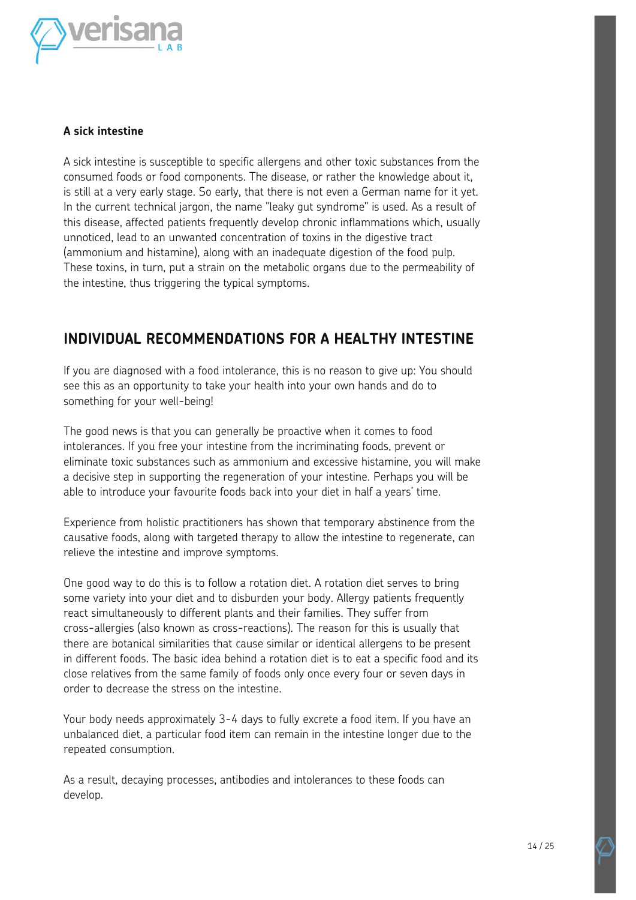

#### **A sick intestine**

A sick intestine is susceptible to specific allergens and other toxic substances from the consumed foods or food components. The disease, or rather the knowledge about it, is still at a very early stage. So early, that there is not even a German name for it yet. In the current technical jargon, the name "leaky gut syndrome" is used. As a result of this disease, affected patients frequently develop chronic inflammations which, usually unnoticed, lead to an unwanted concentration of toxins in the digestive tract (ammonium and histamine), along with an inadequate digestion of the food pulp. These toxins, in turn, put a strain on the metabolic organs due to the permeability of the intestine, thus triggering the typical symptoms.

#### **INDIVIDUAL RECOMMENDATIONS FOR A HEALTHY INTESTINE**

If you are diagnosed with a food intolerance, this is no reason to give up: You should see this as an opportunity to take your health into your own hands and do to something for your well-being!

The good news is that you can generally be proactive when it comes to food intolerances. If you free your intestine from the incriminating foods, prevent or eliminate toxic substances such as ammonium and excessive histamine, you will make a decisive step in supporting the regeneration of your intestine. Perhaps you will be able to introduce your favourite foods back into your diet in half a years' time.

Experience from holistic practitioners has shown that temporary abstinence from the causative foods, along with targeted therapy to allow the intestine to regenerate, can relieve the intestine and improve symptoms.

One good way to do this is to follow a rotation diet. A rotation diet serves to bring some variety into your diet and to disburden your body. Allergy patients frequently react simultaneously to different plants and their families. They suffer from cross-allergies (also known as cross-reactions). The reason for this is usually that there are botanical similarities that cause similar or identical allergens to be present in different foods. The basic idea behind a rotation diet is to eat a specific food and its close relatives from the same family of foods only once every four or seven days in order to decrease the stress on the intestine.

Your body needs approximately 3-4 days to fully excrete a food item. If you have an unbalanced diet, a particular food item can remain in the intestine longer due to the repeated consumption.

As a result, decaying processes, antibodies and intolerances to these foods can develop.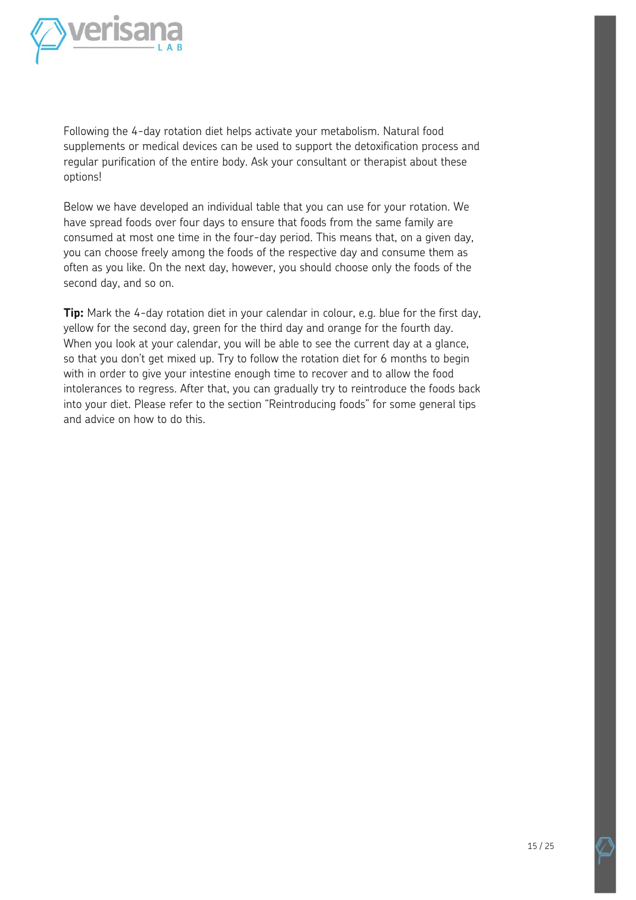

Following the 4-day rotation diet helps activate your metabolism. Natural food supplements or medical devices can be used to support the detoxification process and regular purification of the entire body. Ask your consultant or therapist about these options!

Below we have developed an individual table that you can use for your rotation. We have spread foods over four days to ensure that foods from the same family are consumed at most one time in the four-day period. This means that, on a given day, you can choose freely among the foods of the respective day and consume them as often as you like. On the next day, however, you should choose only the foods of the second day, and so on.

**Tip:** Mark the 4-day rotation diet in your calendar in colour, e.g. blue for the first day, yellow for the second day, green for the third day and orange for the fourth day. When you look at your calendar, you will be able to see the current day at a glance, so that you don't get mixed up. Try to follow the rotation diet for 6 months to begin with in order to give your intestine enough time to recover and to allow the food intolerances to regress. After that, you can gradually try to reintroduce the foods back into your diet. Please refer to the section "Reintroducing foods" for some general tips and advice on how to do this.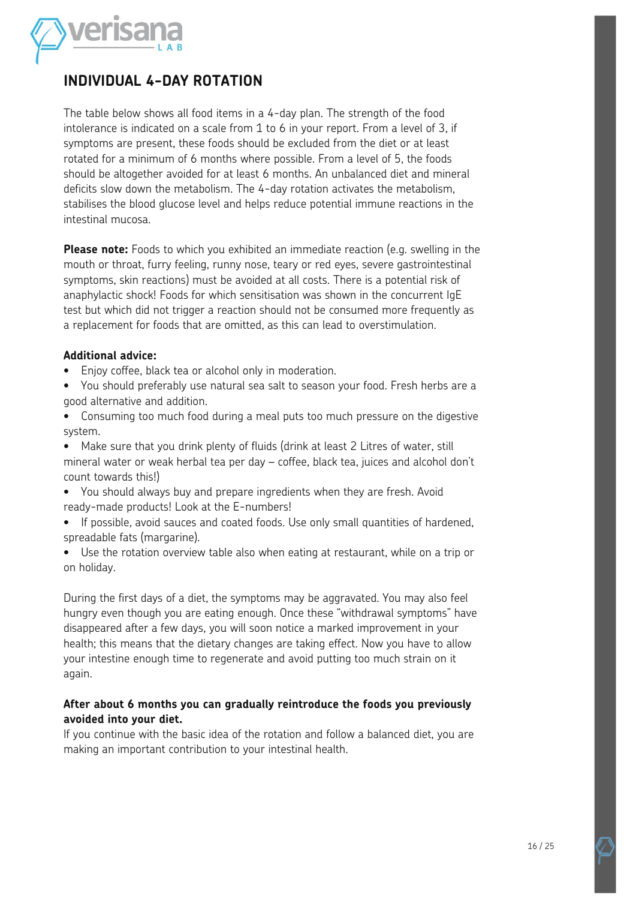

#### **INDIVIDUAL 4-DAY ROTATION**

The table below shows all food items in a 4-day plan. The strength of the food intolerance is indicated on a scale from 1 to 6 in your report. From a level of 3, if symptoms are present, these foods should be excluded from the diet or at least rotated for a minimum of 6 months where possible. From a level of 5, the foods should be altogether avoided for at least 6 months. An unbalanced diet and mineral deficits slow down the metabolism. The 4-day rotation activates the metabolism, stabilises the blood glucose level and helps reduce potential immune reactions in the intestinal mucosa.

**Please note:** Foods to which you exhibited an immediate reaction (e.g. swelling in the mouth or throat, furry feeling, runny nose, teary or red eyes, severe gastrointestinal symptoms, skin reactions) must be avoided at all costs. There is a potential risk of anaphylactic shock! Foods for which sensitisation was shown in the concurrent IgE test but which did not trigger a reaction should not be consumed more frequently as a replacement for foods that are omitted, as this can lead to overstimulation.

#### **Additional advice:**

- Enjoy coffee, black tea or alcohol only in moderation.
- You should preferably use natural sea salt to season your food. Fresh herbs are a good alternative and addition.
- Consuming too much food during a meal puts too much pressure on the digestive system.
- Make sure that you drink plenty of fluids (drink at least 2 Litres of water, still mineral water or weak herbal tea per day – coffee, black tea, juices and alcohol don't count towards this!)
- You should always buy and prepare ingredients when they are fresh. Avoid ready-made products! Look at the E-numbers!
- If possible, avoid sauces and coated foods. Use only small quantities of hardened, spreadable fats (margarine).
- Use the rotation overview table also when eating at restaurant, while on a trip or on holiday.

During the first days of a diet, the symptoms may be aggravated. You may also feel hungry even though you are eating enough. Once these "withdrawal symptoms" have disappeared after a few days, you will soon notice a marked improvement in your health; this means that the dietary changes are taking effect. Now you have to allow your intestine enough time to regenerate and avoid putting too much strain on it again.

#### **After about 6 months you can gradually reintroduce the foods you previously avoided into your diet.**

If you continue with the basic idea of the rotation and follow a balanced diet, you are making an important contribution to your intestinal health.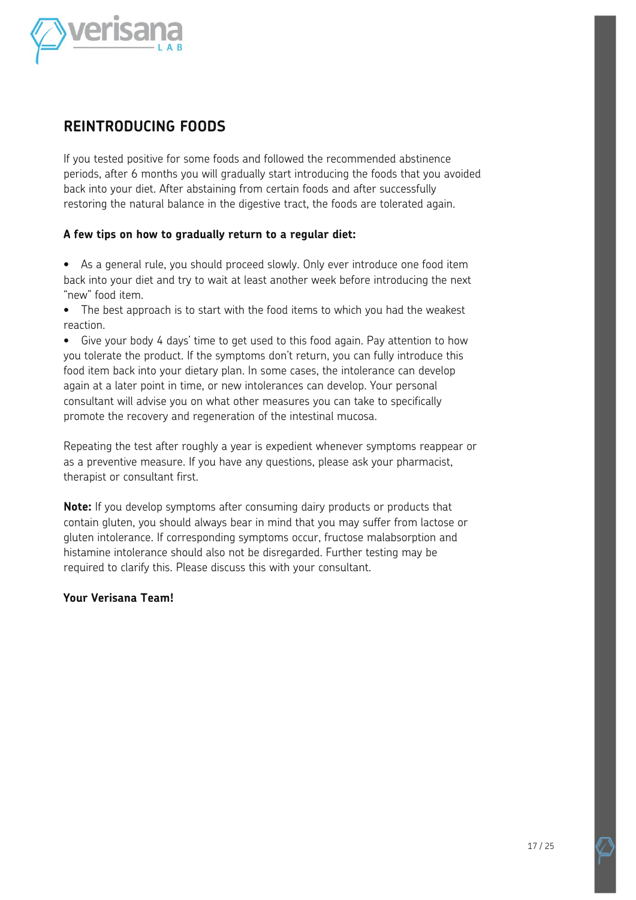

#### **REINTRODUCING FOODS**

If you tested positive for some foods and followed the recommended abstinence periods, after 6 months you will gradually start introducing the foods that you avoided back into your diet. After abstaining from certain foods and after successfully restoring the natural balance in the digestive tract, the foods are tolerated again.

#### **A few tips on how to gradually return to a regular diet:**

- As a general rule, you should proceed slowly. Only ever introduce one food item back into your diet and try to wait at least another week before introducing the next "new" food item.
- The best approach is to start with the food items to which you had the weakest reaction.
- Give your body 4 days' time to get used to this food again. Pay attention to how you tolerate the product. If the symptoms don't return, you can fully introduce this food item back into your dietary plan. In some cases, the intolerance can develop again at a later point in time, or new intolerances can develop. Your personal consultant will advise you on what other measures you can take to specifically promote the recovery and regeneration of the intestinal mucosa.

Repeating the test after roughly a year is expedient whenever symptoms reappear or as a preventive measure. If you have any questions, please ask your pharmacist, therapist or consultant first.

**Note:** If you develop symptoms after consuming dairy products or products that contain gluten, you should always bear in mind that you may suffer from lactose or gluten intolerance. If corresponding symptoms occur, fructose malabsorption and histamine intolerance should also not be disregarded. Further testing may be required to clarify this. Please discuss this with your consultant.

#### **Your Verisana Team!**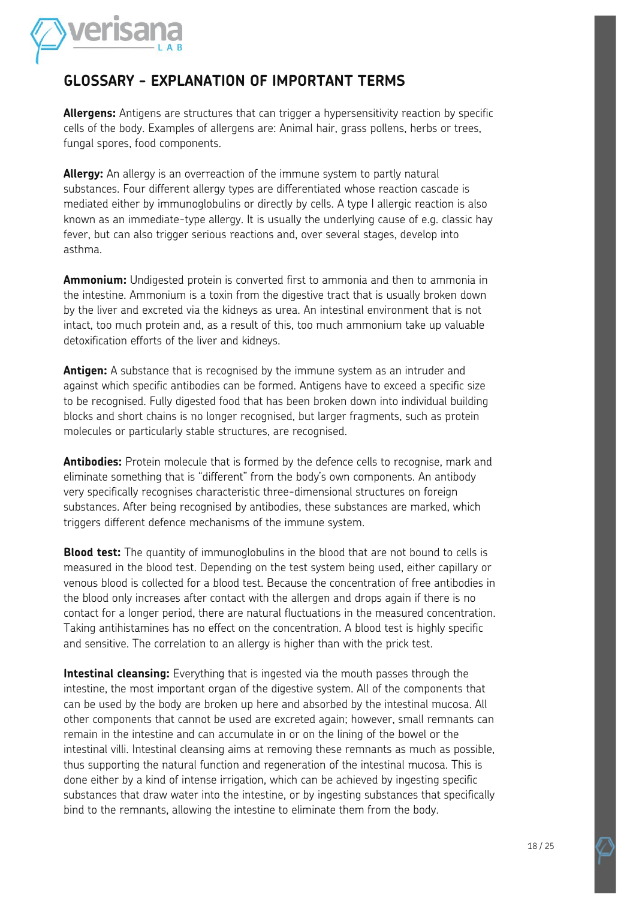

#### **GLOSSARY - EXPLANATION OF IMPORTANT TERMS**

**Allergens:** Antigens are structures that can trigger a hypersensitivity reaction by specific cells of the body. Examples of allergens are: Animal hair, grass pollens, herbs or trees, fungal spores, food components.

**Allergy:** An allergy is an overreaction of the immune system to partly natural substances. Four different allergy types are differentiated whose reaction cascade is mediated either by immunoglobulins or directly by cells. A type I allergic reaction is also known as an immediate-type allergy. It is usually the underlying cause of e.g. classic hay fever, but can also trigger serious reactions and, over several stages, develop into asthma.

**Ammonium:** Undigested protein is converted first to ammonia and then to ammonia in the intestine. Ammonium is a toxin from the digestive tract that is usually broken down by the liver and excreted via the kidneys as urea. An intestinal environment that is not intact, too much protein and, as a result of this, too much ammonium take up valuable detoxification efforts of the liver and kidneys.

**Antigen:** A substance that is recognised by the immune system as an intruder and against which specific antibodies can be formed. Antigens have to exceed a specific size to be recognised. Fully digested food that has been broken down into individual building blocks and short chains is no longer recognised, but larger fragments, such as protein molecules or particularly stable structures, are recognised.

**Antibodies:** Protein molecule that is formed by the defence cells to recognise, mark and eliminate something that is "different" from the body's own components. An antibody very specifically recognises characteristic three-dimensional structures on foreign substances. After being recognised by antibodies, these substances are marked, which triggers different defence mechanisms of the immune system.

**Blood test:** The quantity of immunoglobulins in the blood that are not bound to cells is measured in the blood test. Depending on the test system being used, either capillary or venous blood is collected for a blood test. Because the concentration of free antibodies in the blood only increases after contact with the allergen and drops again if there is no contact for a longer period, there are natural fluctuations in the measured concentration. Taking antihistamines has no effect on the concentration. A blood test is highly specific and sensitive. The correlation to an allergy is higher than with the prick test.

**Intestinal cleansing:** Everything that is ingested via the mouth passes through the intestine, the most important organ of the digestive system. All of the components that can be used by the body are broken up here and absorbed by the intestinal mucosa. All other components that cannot be used are excreted again; however, small remnants can remain in the intestine and can accumulate in or on the lining of the bowel or the intestinal villi. Intestinal cleansing aims at removing these remnants as much as possible, thus supporting the natural function and regeneration of the intestinal mucosa. This is done either by a kind of intense irrigation, which can be achieved by ingesting specific substances that draw water into the intestine, or by ingesting substances that specifically bind to the remnants, allowing the intestine to eliminate them from the body.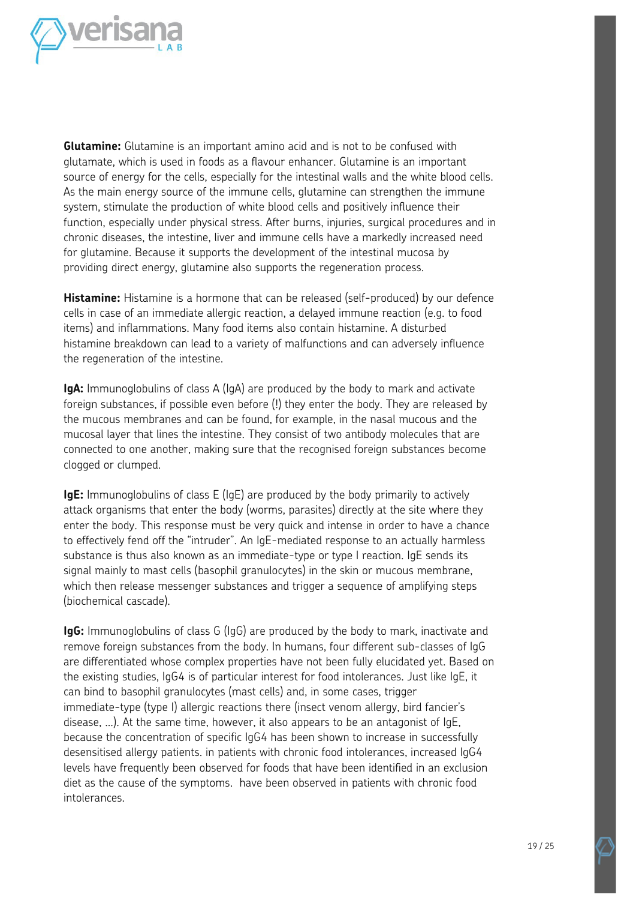

**Glutamine:** Glutamine is an important amino acid and is not to be confused with glutamate, which is used in foods as a flavour enhancer. Glutamine is an important source of energy for the cells, especially for the intestinal walls and the white blood cells. As the main energy source of the immune cells, glutamine can strengthen the immune system, stimulate the production of white blood cells and positively influence their function, especially under physical stress. After burns, injuries, surgical procedures and in chronic diseases, the intestine, liver and immune cells have a markedly increased need for glutamine. Because it supports the development of the intestinal mucosa by providing direct energy, glutamine also supports the regeneration process.

**Histamine:** Histamine is a hormone that can be released (self-produced) by our defence cells in case of an immediate allergic reaction, a delayed immune reaction (e.g. to food items) and inflammations. Many food items also contain histamine. A disturbed histamine breakdown can lead to a variety of malfunctions and can adversely influence the regeneration of the intestine.

**IgA:** Immunoglobulins of class A (IgA) are produced by the body to mark and activate foreign substances, if possible even before (!) they enter the body. They are released by the mucous membranes and can be found, for example, in the nasal mucous and the mucosal layer that lines the intestine. They consist of two antibody molecules that are connected to one another, making sure that the recognised foreign substances become clogged or clumped.

**IgE:** Immunoglobulins of class E (IgE) are produced by the body primarily to actively attack organisms that enter the body (worms, parasites) directly at the site where they enter the body. This response must be very quick and intense in order to have a chance to effectively fend off the "intruder". An IgE-mediated response to an actually harmless substance is thus also known as an immediate-type or type I reaction. IgE sends its signal mainly to mast cells (basophil granulocytes) in the skin or mucous membrane, which then release messenger substances and trigger a sequence of amplifying steps (biochemical cascade).

**IgG:** Immunoglobulins of class G (IgG) are produced by the body to mark, inactivate and remove foreign substances from the body. In humans, four different sub-classes of IgG are differentiated whose complex properties have not been fully elucidated yet. Based on the existing studies, IgG4 is of particular interest for food intolerances. Just like IgE, it can bind to basophil granulocytes (mast cells) and, in some cases, trigger immediate-type (type I) allergic reactions there (insect venom allergy, bird fancier's disease, ...). At the same time, however, it also appears to be an antagonist of IgE, because the concentration of specific IgG4 has been shown to increase in successfully desensitised allergy patients. in patients with chronic food intolerances, increased IgG4 levels have frequently been observed for foods that have been identified in an exclusion diet as the cause of the symptoms. have been observed in patients with chronic food intolerances.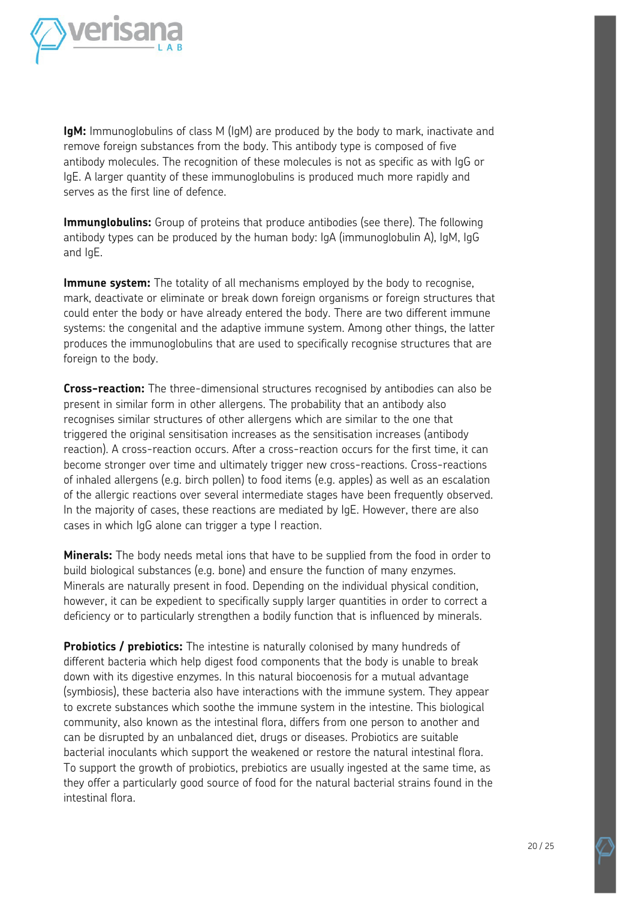

**IgM:** Immunoglobulins of class M (IgM) are produced by the body to mark, inactivate and remove foreign substances from the body. This antibody type is composed of five antibody molecules. The recognition of these molecules is not as specific as with IgG or IgE. A larger quantity of these immunoglobulins is produced much more rapidly and serves as the first line of defence.

**Immunglobulins:** Group of proteins that produce antibodies (see there). The following antibody types can be produced by the human body: IgA (immunoglobulin A), IgM, IgG and IgE.

**Immune system:** The totality of all mechanisms employed by the body to recognise, mark, deactivate or eliminate or break down foreign organisms or foreign structures that could enter the body or have already entered the body. There are two different immune systems: the congenital and the adaptive immune system. Among other things, the latter produces the immunoglobulins that are used to specifically recognise structures that are foreign to the body.

**Cross-reaction:** The three-dimensional structures recognised by antibodies can also be present in similar form in other allergens. The probability that an antibody also recognises similar structures of other allergens which are similar to the one that triggered the original sensitisation increases as the sensitisation increases (antibody reaction). A cross-reaction occurs. After a cross-reaction occurs for the first time, it can become stronger over time and ultimately trigger new cross-reactions. Cross-reactions of inhaled allergens (e.g. birch pollen) to food items (e.g. apples) as well as an escalation of the allergic reactions over several intermediate stages have been frequently observed. In the majority of cases, these reactions are mediated by IgE. However, there are also cases in which IgG alone can trigger a type I reaction.

**Minerals:** The body needs metal ions that have to be supplied from the food in order to build biological substances (e.g. bone) and ensure the function of many enzymes. Minerals are naturally present in food. Depending on the individual physical condition, however, it can be expedient to specifically supply larger quantities in order to correct a deficiency or to particularly strengthen a bodily function that is influenced by minerals.

**Probiotics / prebiotics:** The intestine is naturally colonised by many hundreds of different bacteria which help digest food components that the body is unable to break down with its digestive enzymes. In this natural biocoenosis for a mutual advantage (symbiosis), these bacteria also have interactions with the immune system. They appear to excrete substances which soothe the immune system in the intestine. This biological community, also known as the intestinal flora, differs from one person to another and can be disrupted by an unbalanced diet, drugs or diseases. Probiotics are suitable bacterial inoculants which support the weakened or restore the natural intestinal flora. To support the growth of probiotics, prebiotics are usually ingested at the same time, as they offer a particularly good source of food for the natural bacterial strains found in the intestinal flora.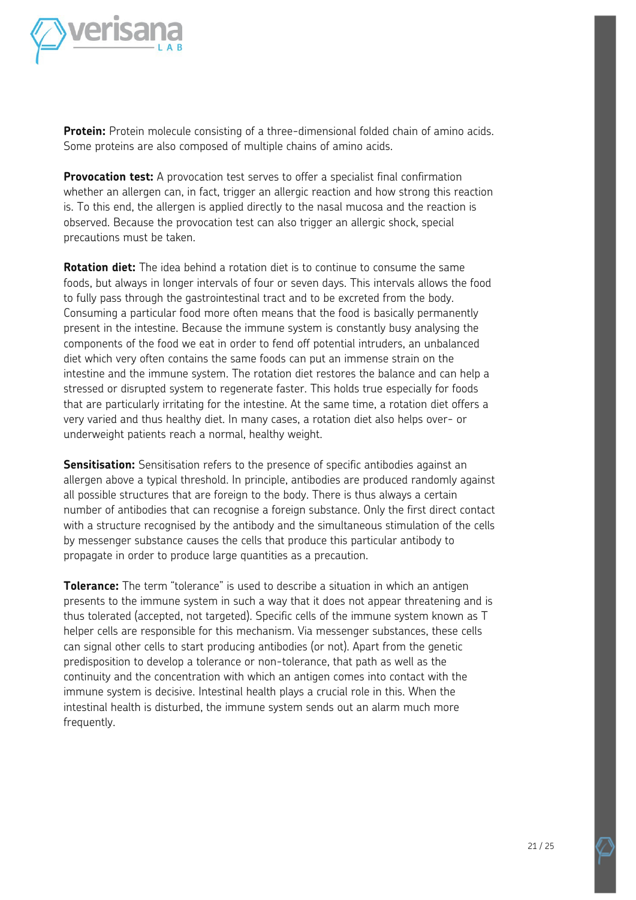

**Protein:** Protein molecule consisting of a three-dimensional folded chain of amino acids. Some proteins are also composed of multiple chains of amino acids.

**Provocation test:** A provocation test serves to offer a specialist final confirmation whether an allergen can, in fact, trigger an allergic reaction and how strong this reaction is. To this end, the allergen is applied directly to the nasal mucosa and the reaction is observed. Because the provocation test can also trigger an allergic shock, special precautions must be taken.

**Rotation diet:** The idea behind a rotation diet is to continue to consume the same foods, but always in longer intervals of four or seven days. This intervals allows the food to fully pass through the gastrointestinal tract and to be excreted from the body. Consuming a particular food more often means that the food is basically permanently present in the intestine. Because the immune system is constantly busy analysing the components of the food we eat in order to fend off potential intruders, an unbalanced diet which very often contains the same foods can put an immense strain on the intestine and the immune system. The rotation diet restores the balance and can help a stressed or disrupted system to regenerate faster. This holds true especially for foods that are particularly irritating for the intestine. At the same time, a rotation diet offers a very varied and thus healthy diet. In many cases, a rotation diet also helps over- or underweight patients reach a normal, healthy weight.

**Sensitisation:** Sensitisation refers to the presence of specific antibodies against an allergen above a typical threshold. In principle, antibodies are produced randomly against all possible structures that are foreign to the body. There is thus always a certain number of antibodies that can recognise a foreign substance. Only the first direct contact with a structure recognised by the antibody and the simultaneous stimulation of the cells by messenger substance causes the cells that produce this particular antibody to propagate in order to produce large quantities as a precaution.

**Tolerance:** The term "tolerance" is used to describe a situation in which an antigen presents to the immune system in such a way that it does not appear threatening and is thus tolerated (accepted, not targeted). Specific cells of the immune system known as T helper cells are responsible for this mechanism. Via messenger substances, these cells can signal other cells to start producing antibodies (or not). Apart from the genetic predisposition to develop a tolerance or non-tolerance, that path as well as the continuity and the concentration with which an antigen comes into contact with the immune system is decisive. Intestinal health plays a crucial role in this. When the intestinal health is disturbed, the immune system sends out an alarm much more frequently.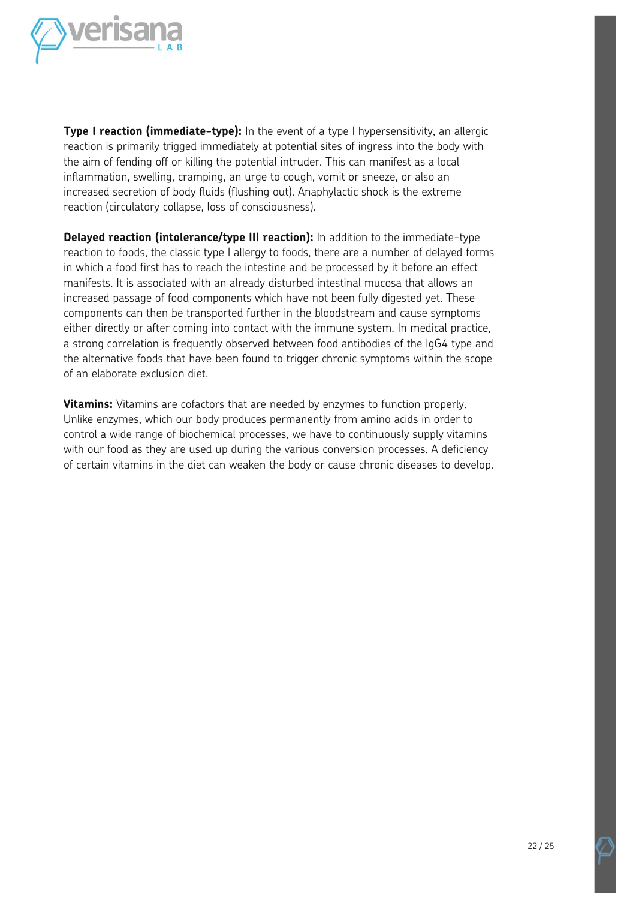

**Type I reaction (immediate-type):** In the event of a type I hypersensitivity, an allergic reaction is primarily trigged immediately at potential sites of ingress into the body with the aim of fending off or killing the potential intruder. This can manifest as a local inflammation, swelling, cramping, an urge to cough, vomit or sneeze, or also an increased secretion of body fluids (flushing out). Anaphylactic shock is the extreme reaction (circulatory collapse, loss of consciousness).

**Delayed reaction (intolerance/type III reaction):** In addition to the immediate-type reaction to foods, the classic type I allergy to foods, there are a number of delayed forms in which a food first has to reach the intestine and be processed by it before an effect manifests. It is associated with an already disturbed intestinal mucosa that allows an increased passage of food components which have not been fully digested yet. These components can then be transported further in the bloodstream and cause symptoms either directly or after coming into contact with the immune system. In medical practice, a strong correlation is frequently observed between food antibodies of the IgG4 type and the alternative foods that have been found to trigger chronic symptoms within the scope of an elaborate exclusion diet.

**Vitamins:** Vitamins are cofactors that are needed by enzymes to function properly. Unlike enzymes, which our body produces permanently from amino acids in order to control a wide range of biochemical processes, we have to continuously supply vitamins with our food as they are used up during the various conversion processes. A deficiency of certain vitamins in the diet can weaken the body or cause chronic diseases to develop.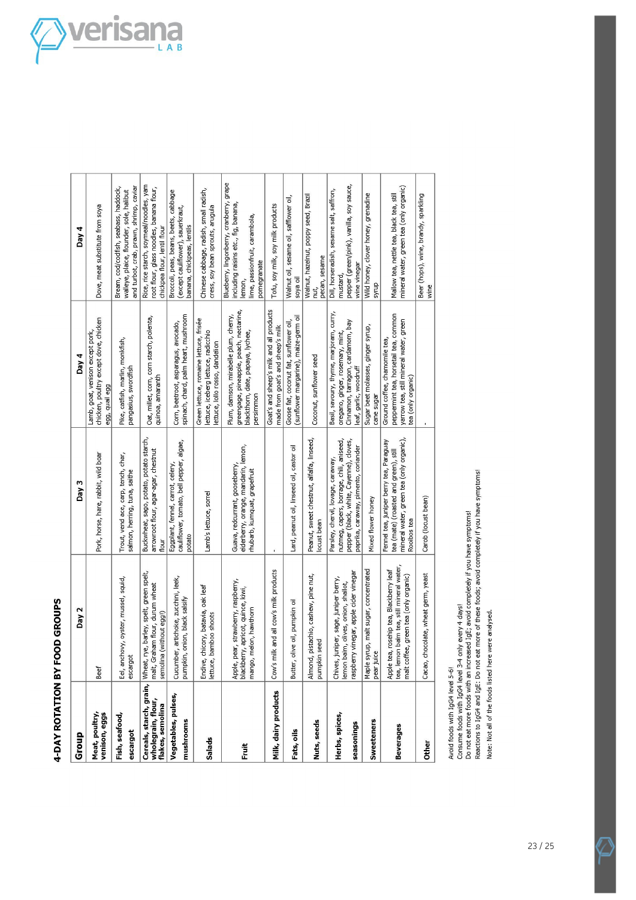# 4-DAY ROTATION BY FOOD GROUPS

| Group                                                                      | Day 2                                                                                                                         | Day 3                                                                                                                                                             | Day 4                                                                                                                                     | Day 4                                                                                                                                       |
|----------------------------------------------------------------------------|-------------------------------------------------------------------------------------------------------------------------------|-------------------------------------------------------------------------------------------------------------------------------------------------------------------|-------------------------------------------------------------------------------------------------------------------------------------------|---------------------------------------------------------------------------------------------------------------------------------------------|
| Meat, poultry,<br>venison, eggs                                            | Beef                                                                                                                          | Pork, horse, hare, rabbit, wild boar                                                                                                                              | chicken, poultry except dove, chicken<br>Lamb, goat, venison except pork,<br>egg, quail egg                                               | Dove, meat substitute from soya                                                                                                             |
| Fish, seafood,<br>escargot                                                 | Eel, anchovy, oyster, mussel, squid,<br>escargot                                                                              | Trout, vend ace, carp, tench, char,<br>salmon, herring, tuna, saithe                                                                                              | Pike, catfish, marlin, monkfish,<br>pangasius, swordfish                                                                                  | and turbot, crab, prawn, shrimp, caviar<br>Bream, cod/codfish, seabass, haddock,<br>walleye, plaice, flounder, sole, halibut                |
| Cereals, starch, grain, Wheat, r<br>wholegrain, flour,<br>flakes, semolina | ye, barley, spelt, green spelt,<br>malt, Graham flour, durum wheat<br>(without egg!)<br>semolina                              | Buckwheat, sago, potato, potato starch,<br>arrowroot flour, agar-agar, chestnut<br>flour                                                                          | Oat, millet, corn, corn starch, polenta,<br>quinoa, amaranth                                                                              | Rice, rice starch, soymeal/noodles, yam<br>root flour, glass noodles, banana flour,<br>chickpea flour, lentil flour                         |
| Vegetables, pulses,<br>mushrooms                                           | Cucumber, artichoke, zucchini, leek,<br>pumpkin, onion, black salsify                                                         | cauliflower, tomato, bell pepper, algae,<br>Eggplant, fennel, carrot, celery,<br>potato                                                                           | spinach, chard, palm heart, mushroom<br>Com, beetroot, asparagus, avocado,                                                                | Broccoli, peas, beans, beets, cabbage<br>(except cauliflower), sauerkraut,<br>banana, chickpeas, lentils                                    |
| Salads                                                                     | Endive, chicory, batavia, oak leaf<br>lettuce, bamboo shoots                                                                  | Lamb's lettuce, sorrel                                                                                                                                            | Green lettuce, romaine lettuce, frisée<br>lettuce, iceberg lettuce, radicchio<br>ettuce, lollo rosso, dandelion                           | Chinese cabbage, radish, small radish,<br>cress, soy bean sprouts, arugula                                                                  |
| Ē                                                                          | Apple, pear, strawberry, raspberry,<br>blackberry, apricot, quince, kiwi,<br>mango, melon, hawthorn                           | elderberry, orange, mandarin, lemon,<br>Guava, redcurrant, gooseberry,<br>rhubarb, kumquat, grapefruit                                                            | greengage, pineapple, peach, nectarine,<br>Plum, damson, mirabelle plum, cherry,<br>blackthorn, date, papaya, lychee,<br>persimmon        | Blueberry, lingonberry, cranberry, grape<br>including raisins etc., fig, banana,<br>lime, passionfruit, carambola,<br>pomegranate<br>lemon, |
| Milk, dairy products                                                       | Cow's milk and all cow's milk products                                                                                        |                                                                                                                                                                   | Goat's and sheep's milk and all products<br>made from goat's and sheep's milk                                                             | Tofu, soy milk, soy milk products                                                                                                           |
| Fats, oils                                                                 | Butter, olive oil, pumpkin oil                                                                                                | Lard, peanut oil, linseed oil, castor oil                                                                                                                         | (sunflower margarine), maize-germ oil<br>Goose fat, coconut fat, sunflower oil,                                                           | Walnut oil, sesame oil, safflower oil,<br>soya oil                                                                                          |
| Nuts, seeds                                                                | pistachio, cashew, pine nut,<br>seed<br>pumpkin<br>Almond,                                                                    | Peanut, sweet chestnut, alfalfa, linseed,<br>locust bean                                                                                                          | Coconut, sunflower seed                                                                                                                   | Walnut, hazelnut, poppy seed, Brazil<br>pecan, sesame<br>nut,                                                                               |
| Herbs, spices,<br>seasonings                                               | raspberry vinegar, apple cider vinegar<br>Chives, juniper, sage, juniper berry,<br>lemon balm, olives, onion, shallot,        | nutmeg, capers, borrage, chili, aniseed,<br>pepper (black, white, Cayenne), cloves,<br>paprika, caraway, pimento, coriander<br>Parsley, chervil, lovage, caraway, | Basil, savoury, thyme, marjoram, curry,<br>Cinnamon, tarragon, cardamom, bay<br>oregano, ginger, rosemary, mint,<br>eaf, garlic, woodruff | pepper (green/pink), vanilla, soy sauce,<br>Dill, horseradish, sesame salt, saffron,<br>wine vinegar<br>mustard,                            |
| <b>Sweeteners</b>                                                          | Maple syrup, malt sugar, concentrated<br>pear juice                                                                           | Mixed flower honey                                                                                                                                                | Sugar beet molasses, ginger syrup,<br>cane sugar                                                                                          | Wild honey, clover honey, grenadine<br>syrup                                                                                                |
| Beverages                                                                  | tea, lemon balm tea, still mineral water,<br>Apple tea, rosehip tea, Blackberry leaf<br>malt coffee, green tea (only organic) | mineral water, green tea (only organic),<br>Fennel tea, juniper berry tea, Paraguay<br>tea (mate) (roasted and green), still<br>Rooibos tea                       | peppermint tea, horsetail tea, common<br>yarrow tea, still mineral water, green<br>Ground coffee, chamomile tea,<br>tea (only organic)    | mineral water, green tea (only organic)<br>Mallow tea, nettle tea, black tea, still                                                         |
| <b>Other</b>                                                               | Cacao, chocolate, wheat germ, yeast                                                                                           | Carob (locust bean)                                                                                                                                               |                                                                                                                                           | Beer (hops), wine, brandy, sparkling<br>wine                                                                                                |

Avoid foods with IgG4 level 5-6!<br>Consume foods with IgG4 level 3-4 only every 4 days!<br>Do not eat more foods with an increased IgE; avoid completely if you have symptoms!<br>Reactions to IgG4 and IgE: Do not eat more of these

Note: Not all of the foods listed here were analysed.

Z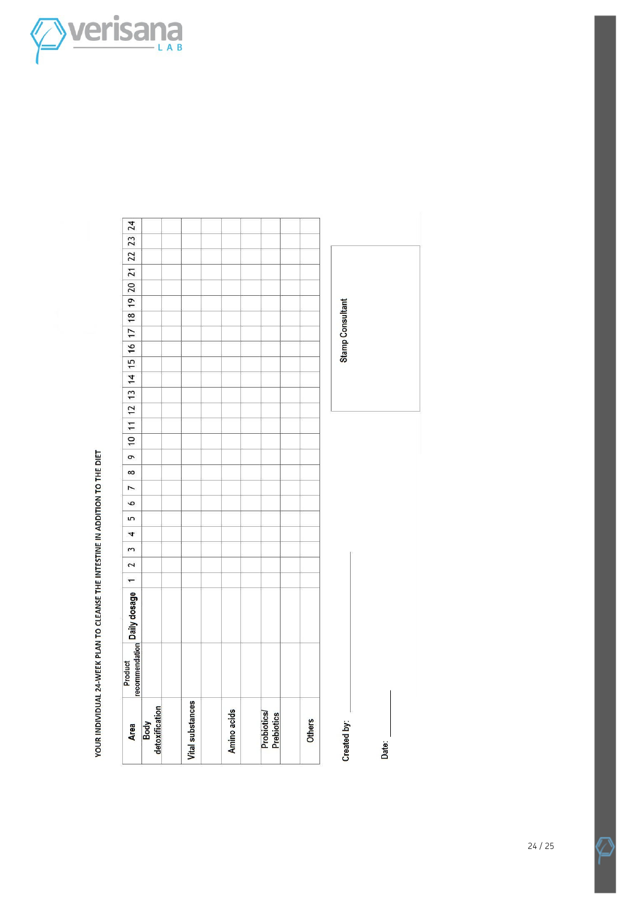

| Area                      | Product | recommendation Daily dosage 1 | 2 | 3 | 4 | 5 | P | $\overline{ }$ | $\sigma$<br>$\infty$ |  |  |  |  | $10 \mid 11 \mid 12 \mid 13 \mid 14 \mid 15 \mid 16 \mid 17 \mid 18 \mid 19 \mid 20 \mid 21 \mid 22 \mid 23 \mid 24$ |  |  |  |
|---------------------------|---------|-------------------------------|---|---|---|---|---|----------------|----------------------|--|--|--|--|----------------------------------------------------------------------------------------------------------------------|--|--|--|
| Body<br>detoxification    |         |                               |   |   |   |   |   |                |                      |  |  |  |  |                                                                                                                      |  |  |  |
|                           |         |                               |   |   |   |   |   |                |                      |  |  |  |  |                                                                                                                      |  |  |  |
| <b>Vital substances</b>   |         |                               |   |   |   |   |   |                |                      |  |  |  |  |                                                                                                                      |  |  |  |
|                           |         |                               |   |   |   |   |   |                |                      |  |  |  |  |                                                                                                                      |  |  |  |
| Amino acids               |         |                               |   |   |   |   |   |                |                      |  |  |  |  |                                                                                                                      |  |  |  |
|                           |         |                               |   |   |   |   |   |                |                      |  |  |  |  |                                                                                                                      |  |  |  |
| Probiotics/<br>Prebiotics |         |                               |   |   |   |   |   |                |                      |  |  |  |  |                                                                                                                      |  |  |  |
|                           |         |                               |   |   |   |   |   |                |                      |  |  |  |  |                                                                                                                      |  |  |  |
| Others                    |         |                               |   |   |   |   |   |                |                      |  |  |  |  |                                                                                                                      |  |  |  |
| Created by:               |         |                               |   |   |   |   |   |                |                      |  |  |  |  | <b>Stamp Consultant</b>                                                                                              |  |  |  |
| Date:                     |         |                               |   |   |   |   |   |                |                      |  |  |  |  |                                                                                                                      |  |  |  |

YOUR INDIVIDUAL 24-WEEK PLAN TO CLEANSE THE INTESTINE IN ADDITION TO THE DIET